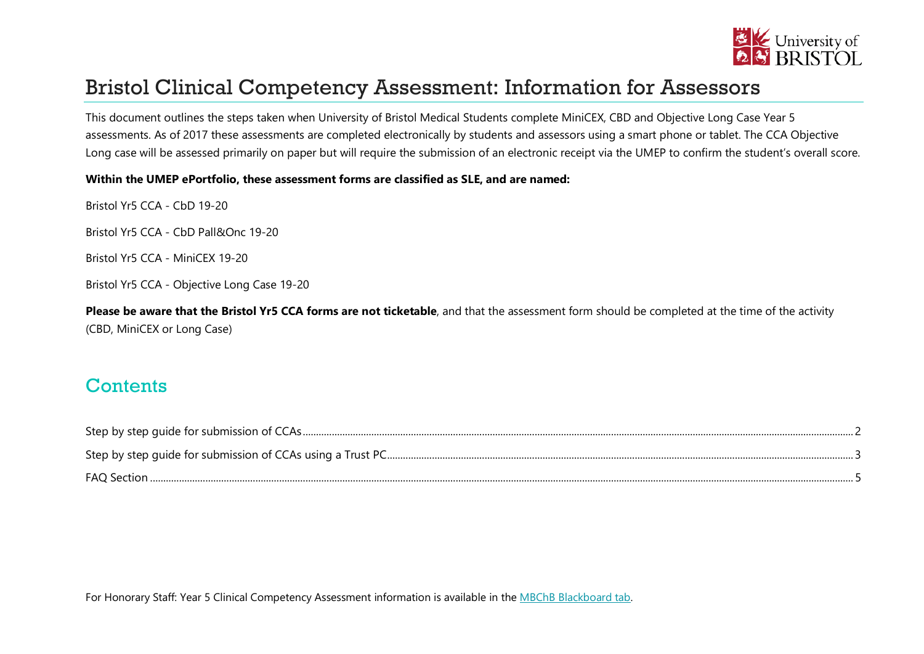

# Bristol Clinical Competency Assessment: Information for Assessors

This document outlines the steps taken when University of Bristol Medical Students complete MiniCEX, CBD and Objective Long Case Year 5 assessments. As of 2017 these assessments are completed electronically by students and assessors using a smart phone or tablet. The CCA Objective Long case will be assessed primarily on paper but will require the submission of an electronic receipt via the UMEP to confirm the student's overall score.

#### **Within the UMEP ePortfolio, these assessment forms are classified as SLE, and are named:**

Bristol Yr5 CCA - CbD 19-20

Bristol Yr5 CCA - CbD Pall&Onc 19-20

Bristol Yr5 CCA - MiniCEX 19-20

Bristol Yr5 CCA - Objective Long Case 19-20

**Please be aware that the Bristol Yr5 CCA forms are not ticketable**, and that the assessment form should be completed at the time of the activity (CBD, MiniCEX or Long Case)

#### **Contents**

| FAQ Section. |  |
|--------------|--|

For Honorary Staff: Year 5 Clinical Competency Assessment information is available in the [MBChB Blackboard tab.](https://www.ole.bris.ac.uk/)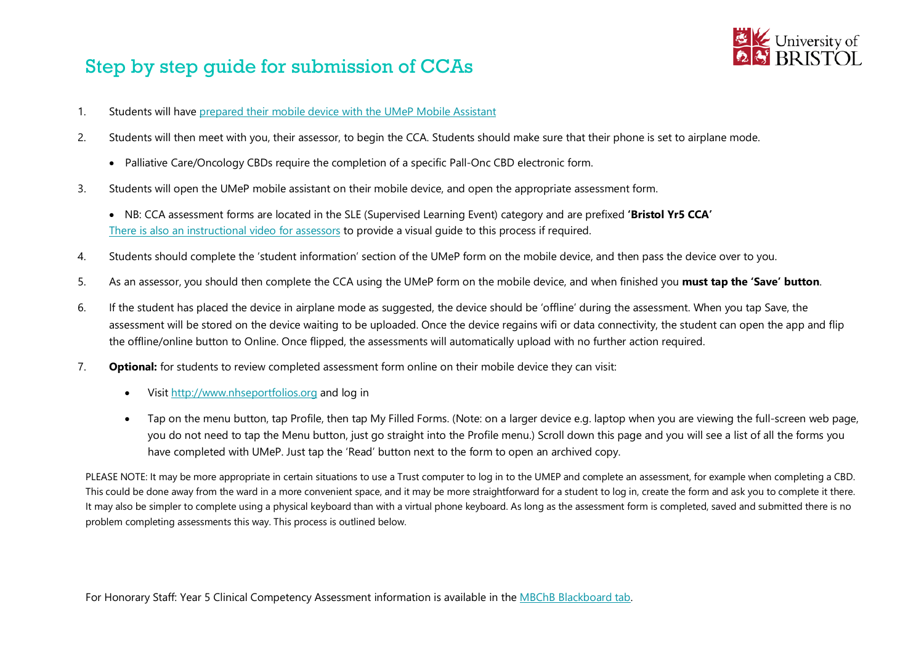# <span id="page-1-0"></span>Step by step guide for submission of CCAs



- 1. Students will have *prepared their [mobile device with the UMeP Mobile Assistant](https://www.ole.bris.ac.uk/bbcswebdav/xid-7966953_4)*
- 2. Students will then meet with you, their assessor, to begin the CCA. Students should make sure that their phone is set to airplane mode.
	- Palliative Care/Oncology CBDs require the completion of a specific Pall-Onc CBD electronic form.
- 3. Students will open the UMeP mobile assistant on their mobile device, and open the appropriate assessment form.
	- NB: CCA assessment forms are located in the SLE (Supervised Learning Event) category and are prefixed **'Bristol Yr5 CCA'** *3T*[There is also an instructional video for assessors](https://youtu.be/eFpQ4k5NnHg)*3T* to provide a visual guide to this process if required.
- 4. Students should complete the 'student information' section of the UMeP form on the mobile device, and then pass the device over to you.
- 5. As an assessor, you should then complete the CCA using the UMeP form on the mobile device, and when finished you **must tap the 'Save' button**.
- 6. If the student has placed the device in airplane mode as suggested, the device should be 'offline' during the assessment. When you tap Save, the assessment will be stored on the device waiting to be uploaded. Once the device regains wifi or data connectivity, the student can open the app and flip the offline/online button to Online. Once flipped, the assessments will automatically upload with no further action required.
- 7. **Optional:** for students to review completed assessment form online on their mobile device they can visit:
	- Visit [http://www.nhseportfolios.org](http://www.nhseportfolios.org/) and log in
	- Tap on the menu button, tap Profile, then tap My Filled Forms. (Note: on a larger device e.g. laptop when you are viewing the full-screen web page, you do not need to tap the Menu button, just go straight into the Profile menu.) Scroll down this page and you will see a list of all the forms you have completed with UMeP. Just tap the 'Read' button next to the form to open an archived copy.

PLEASE NOTE: It may be more appropriate in certain situations to use a Trust computer to log in to the UMEP and complete an assessment, for example when completing a CBD. This could be done away from the ward in a more convenient space, and it may be more straightforward for a student to log in, create the form and ask you to complete it there. It may also be simpler to complete using a physical keyboard than with a virtual phone keyboard. As long as the assessment form is completed, saved and submitted there is no problem completing assessments this way. This process is outlined below.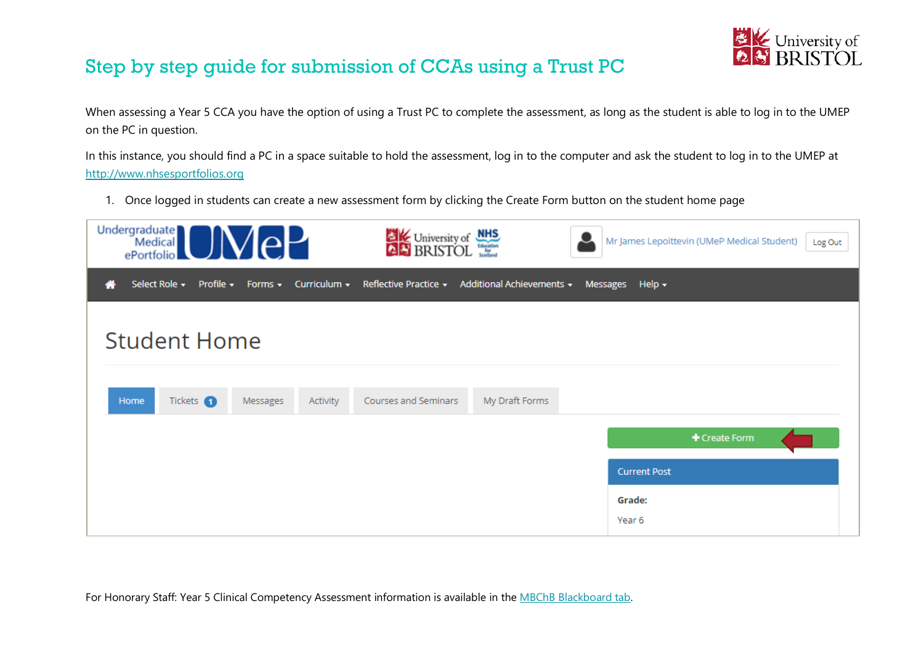

## <span id="page-2-0"></span>Step by step guide for submission of CCAs using a Trust PC

When assessing a Year 5 CCA you have the option of using a Trust PC to complete the assessment, as long as the student is able to log in to the UMEP on the PC in question.

In this instance, you should find a PC in a space suitable to hold the assessment, log in to the computer and ask the student to log in to the UMEP at *3T*[http://www.nhsesportfolios.org](http://www.nhsesportfolios.org/)*3T*

1. Once logged in students can create a new assessment form by clicking the Create Form button on the student home page

| <b>Undergraduate</b><br>$\mathsf{P}$<br>Medical <sup>1</sup><br>ePortfolio                   | <b>EXAMPLE University of NHS</b>                | Mr James Lepoittevin (UMeP Medical Student)<br>Log Out |
|----------------------------------------------------------------------------------------------|-------------------------------------------------|--------------------------------------------------------|
| Profile $\star$ Forms $\overline{\star}$ Curriculum $\overline{\star}$<br>Select Role $\sim$ | Reflective Practice ▼ Additional Achievements ▼ | Messages<br>Help $\star$                               |
| <b>Student Home</b>                                                                          |                                                 |                                                        |
| Tickets 1<br>Home<br>Activity<br>Messages                                                    | Courses and Seminars<br>My Draft Forms          |                                                        |
|                                                                                              |                                                 | + Create Form                                          |
|                                                                                              |                                                 | <b>Current Post</b>                                    |
|                                                                                              |                                                 | Grade:<br>Year 6                                       |

For Honorary Staff: Year 5 Clinical Competency Assessment information is available in the [MBChB Blackboard tab.](https://www.ole.bris.ac.uk/)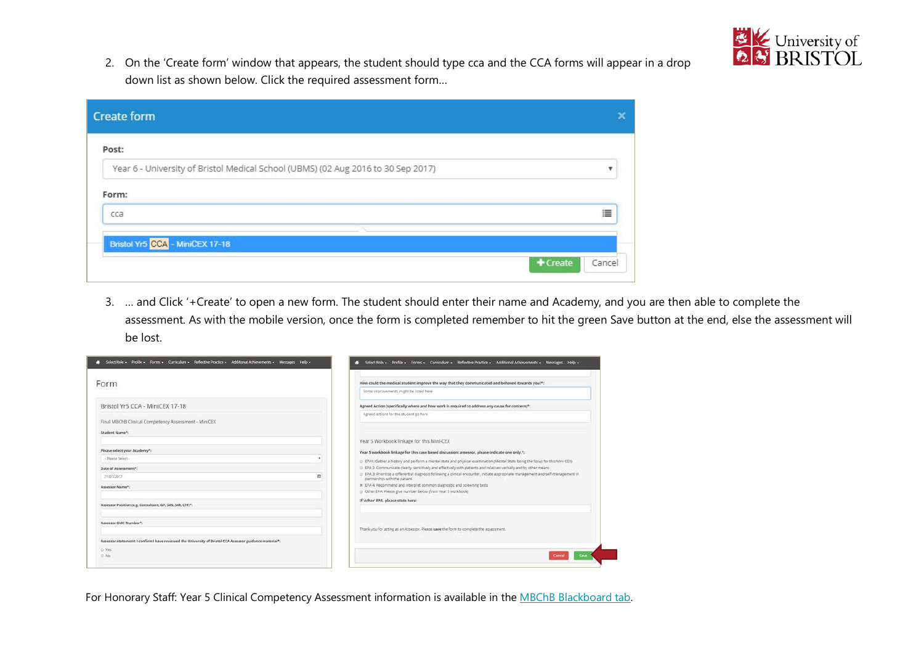

2. On the 'Create form' window that appears, the student should type cca and the CCA forms will appear in a drop down list as shown below. Click the required assessment form…

| 這                  |
|--------------------|
|                    |
| + Create<br>Cancel |
|                    |

3. … and Click '+Create' to open a new form. The student should enter their name and Academy, and you are then able to complete the assessment. As with the mobile version, once the form is completed remember to hit the green Save button at the end, else the assessment will be lost.

| # Select Role + Profile + Forms + Curriculum + Reflective Practice + Additional Achievements + Messages Help + |   | Select Role . Profile . Forms . Curriculum . Reflective Practice . Additional Achievements . Messages Help .<br>œ                                                    |
|----------------------------------------------------------------------------------------------------------------|---|----------------------------------------------------------------------------------------------------------------------------------------------------------------------|
| Form                                                                                                           |   | How could the medical student improve the way that they communicated and behaved towards you?*:                                                                      |
|                                                                                                                |   | Some improvements might be listed here                                                                                                                               |
| Bristol Yr5 CCA - MiniCEX 17-18                                                                                |   | Agreed Action (specifically where and how work is required to address any cause for concern)*:                                                                       |
| Final MBChB Clinical Competency Assessment - MiniCEX                                                           |   | Agreed actions for the student go here                                                                                                                               |
| Student Name*:                                                                                                 |   |                                                                                                                                                                      |
|                                                                                                                |   | Year 5 Workbook linkage for this Mini-CEX                                                                                                                            |
| Please select your Academy*:                                                                                   |   | Year 5 workbook linkage for this case based discussion: assessor, please indicate one only. <sup>4</sup> :                                                           |
| - Please Select -                                                                                              |   | EPA1: Gather a history and perform a mental state and physical examination (Mental State being the focus for this Mini-CEX)                                          |
| Date of Assessment*:                                                                                           |   | C EPA 2: Communicate clearly, sensitively and effectively with patients and relatives verbally and by other means                                                    |
| 21/07/2017                                                                                                     | m | 0 EPA 3: Prioritise a differential diagnosis following a clinical encounter, initiate appropriate management and self-management in<br>partnership with the patient. |
| Assessor Name <sup>s</sup> :                                                                                   |   | * EPA 4: Recommend and Interpret common diagnostic and screening tests                                                                                               |
|                                                                                                                |   | C Other EPA: Please give number below (from Year 5 workbook)                                                                                                         |
| Assessor Position (e.g. Consultant, GP, SAS, StR, CTF)*:                                                       |   | If 'other' EPA, please state here:                                                                                                                                   |
| Assessor GMC Number*:                                                                                          |   |                                                                                                                                                                      |
|                                                                                                                |   | Thank you for acting as an Assessor. Please save the form to complete the assessment.                                                                                |
| Assessor statement: I confirm I have reviewed the University of Bristol CCA Assessor guidance material*:       |   |                                                                                                                                                                      |
| C: Yes                                                                                                         |   |                                                                                                                                                                      |
| O No                                                                                                           |   | Cancel                                                                                                                                                               |

For Honorary Staff: Year 5 Clinical Competency Assessment information is available in the [MBChB Blackboard tab.](https://www.ole.bris.ac.uk/)